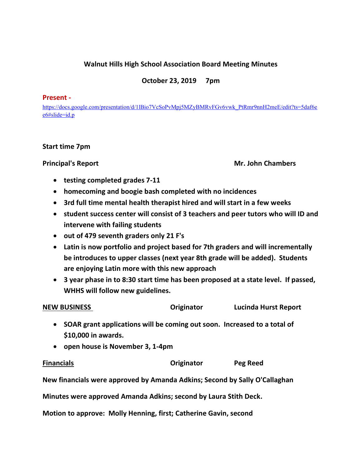# **Walnut Hills High School Association Board Meeting Minutes**

## **October 23, 2019 7pm**

#### **Present -**

[https://docs.google.com/presentation/d/1lBio7VcSoPvMpj5MZyBMRvFGv6vwk\\_PtRmr9nnH2meE/edit?ts=5daf6e](https://docs.google.com/presentation/d/1lBio7VcSoPvMpj5MZyBMRvFGv6vwk_PtRmr9nnH2meE/edit?ts=5daf6ee6#slide=id.p) [e6#slide=id.p](https://docs.google.com/presentation/d/1lBio7VcSoPvMpj5MZyBMRvFGv6vwk_PtRmr9nnH2meE/edit?ts=5daf6ee6#slide=id.p)

### **Start time 7pm**

**Principal's Report Mr. John Chambers** 

- **testing completed grades 7-11**
- **homecoming and boogie bash completed with no incidences**
- **3rd full time mental health therapist hired and will start in a few weeks**
- **student success center will consist of 3 teachers and peer tutors who will ID and intervene with failing students**
- **out of 479 seventh graders only 21 F's**
- **Latin is now portfolio and project based for 7th graders and will incrementally be introduces to upper classes (next year 8th grade will be added). Students are enjoying Latin more with this new approach**
- **3 year phase in to 8:30 start time has been proposed at a state level. If passed, WHHS will follow new guidelines.**

| <b>NEW BUSINESS</b> | Originator | <b>Lucinda Hurst Report</b> |
|---------------------|------------|-----------------------------|
|                     |            |                             |

- **SOAR grant applications will be coming out soon. Increased to a total of \$10,000 in awards.**
- **open house is November 3, 1-4pm**

### **Financials Originator Peg Reed**

**New financials were approved by Amanda Adkins; Second by Sally O'Callaghan**

**Minutes were approved Amanda Adkins; second by Laura Stith Deck.** 

**Motion to approve: Molly Henning, first; Catherine Gavin, second**